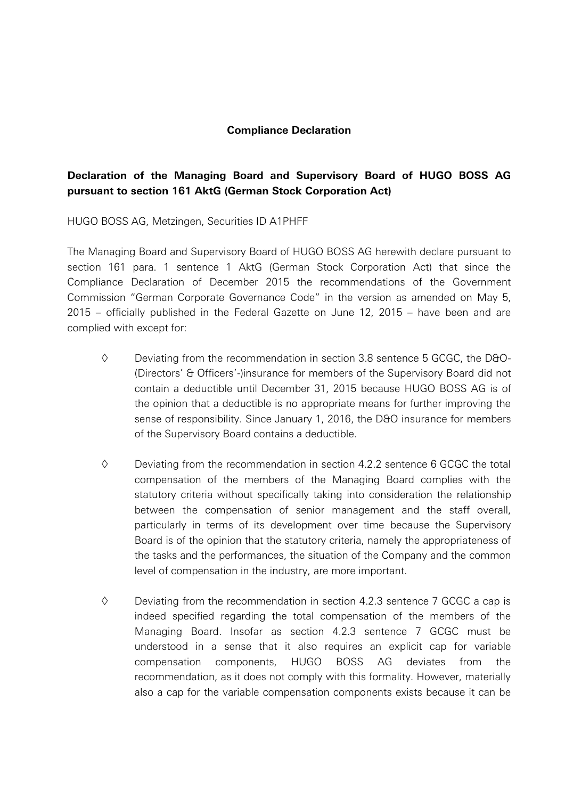## **Compliance Declaration**

## **Declaration of the Managing Board and Supervisory Board of HUGO BOSS AG pursuant to section 161 AktG (German Stock Corporation Act)**

HUGO BOSS AG, Metzingen, Securities ID A1PHFF

The Managing Board and Supervisory Board of HUGO BOSS AG herewith declare pursuant to section 161 para. 1 sentence 1 AktG (German Stock Corporation Act) that since the Compliance Declaration of December 2015 the recommendations of the Government Commission "German Corporate Governance Code" in the version as amended on May 5, 2015 – officially published in the Federal Gazette on June 12, 2015 – have been and are complied with except for:

- $\diamond$  Deviating from the recommendation in section 3.8 sentence 5 GCGC, the D&O-(Directors' & Officers'-)insurance for members of the Supervisory Board did not contain a deductible until December 31, 2015 because HUGO BOSS AG is of the opinion that a deductible is no appropriate means for further improving the sense of responsibility. Since January 1, 2016, the D&O insurance for members of the Supervisory Board contains a deductible.
- $\diamond$  Deviating from the recommendation in section 4.2.2 sentence 6 GCGC the total compensation of the members of the Managing Board complies with the statutory criteria without specifically taking into consideration the relationship between the compensation of senior management and the staff overall, particularly in terms of its development over time because the Supervisory Board is of the opinion that the statutory criteria, namely the appropriateness of the tasks and the performances, the situation of the Company and the common level of compensation in the industry, are more important.
- $\diamond$  Deviating from the recommendation in section 4.2.3 sentence 7 GCGC a cap is indeed specified regarding the total compensation of the members of the Managing Board. Insofar as section 4.2.3 sentence 7 GCGC must be understood in a sense that it also requires an explicit cap for variable compensation components, HUGO BOSS AG deviates from the recommendation, as it does not comply with this formality. However, materially also a cap for the variable compensation components exists because it can be